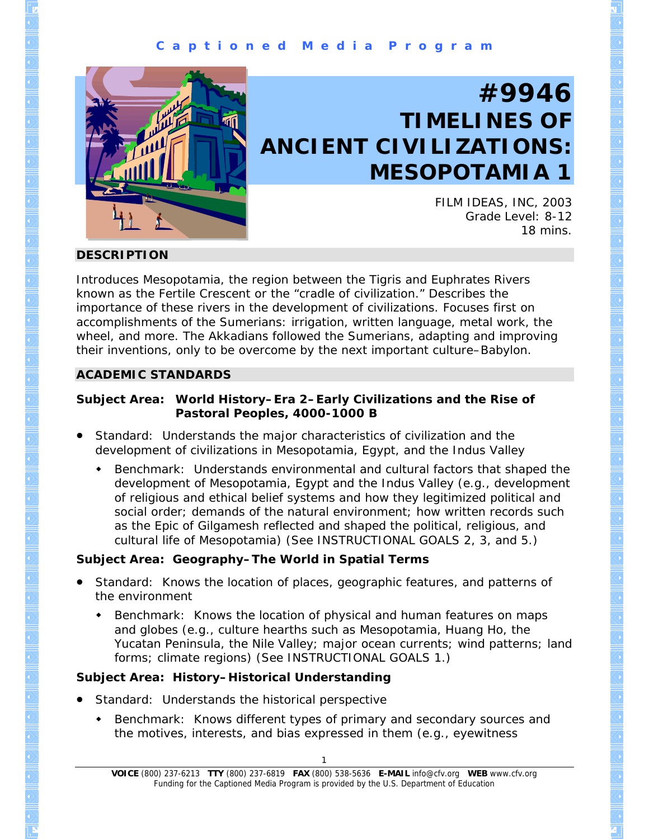

# **#9946 TIMELINES OF ANCIENT CIVILIZATIONS: MESOPOTAMIA 1**

FILM IDEAS, INC, 2003 Grade Level: 8-12 18 mins.

## **DESCRIPTION**

Introduces Mesopotamia, the region between the Tigris and Euphrates Rivers known as the Fertile Crescent or the "cradle of civilization." Describes the importance of these rivers in the development of civilizations. Focuses first on accomplishments of the Sumerians: irrigation, written language, metal work, the wheel, and more. The Akkadians followed the Sumerians, adapting and improving their inventions, only to be overcome by the next important culture–Babylon.

# **ACADEMIC STANDARDS**

## **Subject Area: World History–Era 2–Early Civilizations and the Rise of Pastoral Peoples, 4000-1000 B**

- Standard: Understands the major characteristics of civilization and the development of civilizations in Mesopotamia, Egypt, and the Indus Valley
	- Benchmark: Understands environmental and cultural factors that shaped the development of Mesopotamia, Egypt and the Indus Valley (e.g., development of religious and ethical belief systems and how they legitimized political and social order; demands of the natural environment; how written records such as the Epic of Gilgamesh reflected and shaped the political, religious, and cultural life of Mesopotamia) (See INSTRUCTIONAL GOALS 2, 3, and 5.)

# **Subject Area: Geography–The World in Spatial Terms**

- Standard: Knows the location of places, geographic features, and patterns of the environment
	- **Benchmark: Knows the location of physical and human features on maps** and globes (e.g., culture hearths such as Mesopotamia, Huang Ho, the Yucatan Peninsula, the Nile Valley; major ocean currents; wind patterns; land forms; climate regions) (See INSTRUCTIONAL GOALS 1.)

# **Subject Area: History–Historical Understanding**

- Standard: Understands the historical perspective
	- Benchmark: Knows different types of primary and secondary sources and the motives, interests, and bias expressed in them (e.g., eyewitness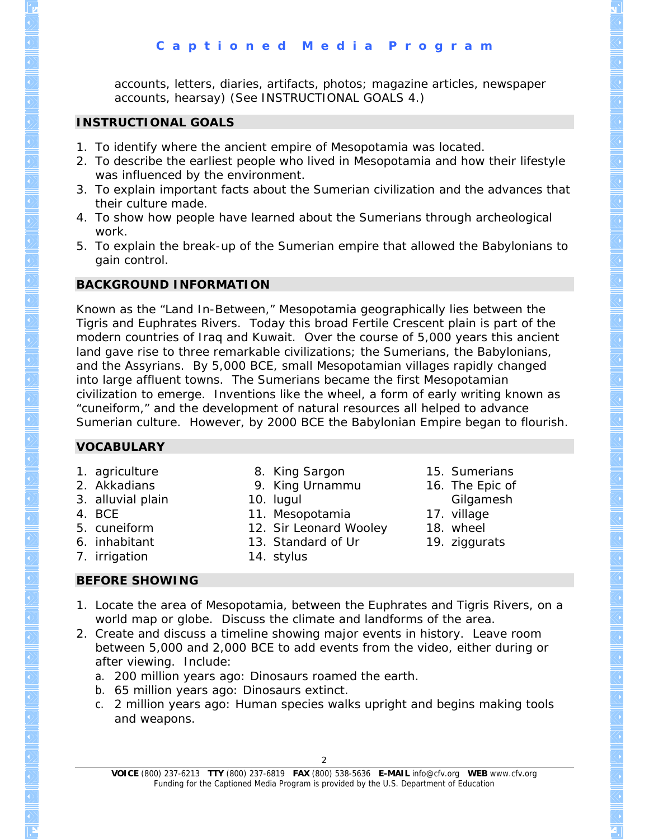accounts, letters, diaries, artifacts, photos; magazine articles, newspaper accounts, hearsay) (See INSTRUCTIONAL GOALS 4.)

## **INSTRUCTIONAL GOALS**

- 1. To identify where the ancient empire of Mesopotamia was located.
- 2. To describe the earliest people who lived in Mesopotamia and how their lifestyle was influenced by the environment.
- 3. To explain important facts about the Sumerian civilization and the advances that their culture made.
- 4. To show how people have learned about the Sumerians through archeological work.
- 5. To explain the break-up of the Sumerian empire that allowed the Babylonians to gain control.

## **BACKGROUND INFORMATION**

Known as the "Land In-Between," Mesopotamia geographically lies between the Tigris and Euphrates Rivers. Today this broad Fertile Crescent plain is part of the modern countries of Iraq and Kuwait. Over the course of 5,000 years this ancient land gave rise to three remarkable civilizations; the Sumerians, the Babylonians, and the Assyrians. By 5,000 BCE, small Mesopotamian villages rapidly changed into large affluent towns. The Sumerians became the first Mesopotamian civilization to emerge. Inventions like the wheel, a form of early writing known as "cuneiform," and the development of natural resources all helped to advance Sumerian culture. However, by 2000 BCE the Babylonian Empire began to flourish.

## **VOCABULARY**

1. agriculture

8. King Sargon

- 2. Akkadians
- 3. alluvial plain
- 4. BCE
- 5. cuneiform
- 6. inhabitant
- 7. irrigation
- 9. King Urnammu
- 10. lugul
- 11. Mesopotamia
- 12. Sir Leonard Wooley
- 13. Standard of Ur
- 
- **BEFORE SHOWING**
- 14. stylus
- 15. Sumerians
- 16. The Epic of
	- Gilgamesh
- 17. village
- 18. wheel
- 19. ziggurats
- 1. Locate the area of Mesopotamia, between the Euphrates and Tigris Rivers, on a world map or globe. Discuss the climate and landforms of the area.
- 2. Create and discuss a timeline showing major events in history. Leave room between 5,000 and 2,000 BCE to add events from the video, either during or after viewing. Include:
	- a. 200 million years ago: Dinosaurs roamed the earth.
	- b. 65 million years ago: Dinosaurs extinct.
	- c. 2 million years ago: Human species walks upright and begins making tools and weapons.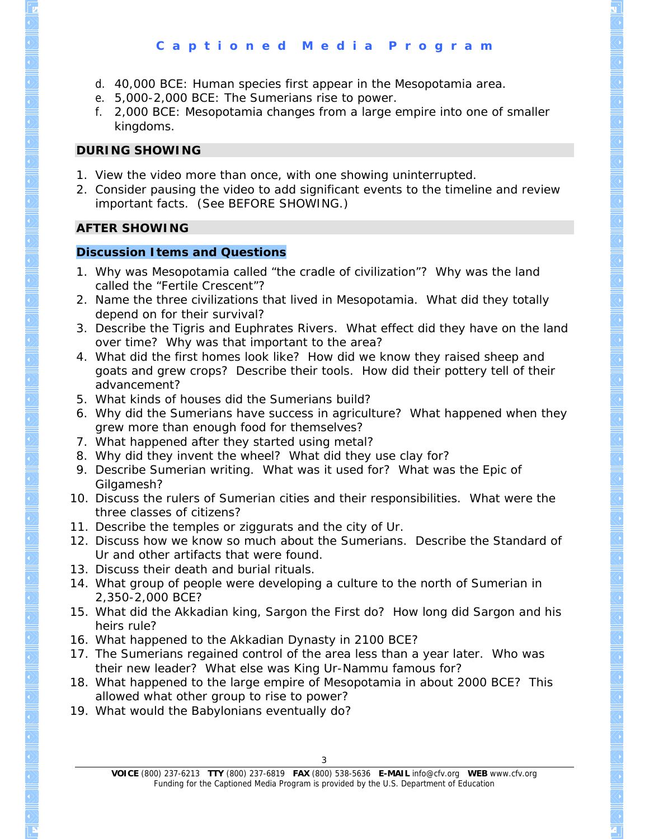## **C a p t i o n e d M e d i a P r o g r a m**

- d. 40,000 BCE: Human species first appear in the Mesopotamia area.
- e. 5,000-2,000 BCE: The Sumerians rise to power.
- f. 2,000 BCE: Mesopotamia changes from a large empire into one of smaller kingdoms.

#### **DURING SHOWING**

- 1. View the video more than once, with one showing uninterrupted.
- 2. Consider pausing the video to add significant events to the timeline and review important facts. (See BEFORE SHOWING.)

## **AFTER SHOWING**

## **Discussion Items and Questions**

- 1. Why was Mesopotamia called "the cradle of civilization"? Why was the land called the "Fertile Crescent"?
- 2. Name the three civilizations that lived in Mesopotamia. What did they totally depend on for their survival?
- 3. Describe the Tigris and Euphrates Rivers. What effect did they have on the land over time? Why was that important to the area?
- 4. What did the first homes look like? How did we know they raised sheep and goats and grew crops? Describe their tools. How did their pottery tell of their advancement?
- 5. What kinds of houses did the Sumerians build?
- 6. Why did the Sumerians have success in agriculture? What happened when they grew more than enough food for themselves?
- 7. What happened after they started using metal?
- 8. Why did they invent the wheel? What did they use clay for?
- 9. Describe Sumerian writing. What was it used for? What was the Epic of Gilgamesh?
- 10. Discuss the rulers of Sumerian cities and their responsibilities. What were the three classes of citizens?
- 11. Describe the temples or ziggurats and the city of Ur.
- 12. Discuss how we know so much about the Sumerians. Describe the Standard of Ur and other artifacts that were found.
- 13. Discuss their death and burial rituals.
- 14. What group of people were developing a culture to the north of Sumerian in 2,350-2,000 BCE?
- 15. What did the Akkadian king, Sargon the First do? How long did Sargon and his heirs rule?
- 16. What happened to the Akkadian Dynasty in 2100 BCE?
- 17. The Sumerians regained control of the area less than a year later. Who was their new leader? What else was King Ur-Nammu famous for?
- 18. What happened to the large empire of Mesopotamia in about 2000 BCE? This allowed what other group to rise to power?
- 19. What would the Babylonians eventually do?

**VOICE** (800) 237-6213 **TTY** (800) 237-6819 **FAX** (800) 538-5636 **E-MAIL** info@cfv.org **WEB** www.cfv.org Funding for the Captioned Media Program is provided by the U.S. Department of Education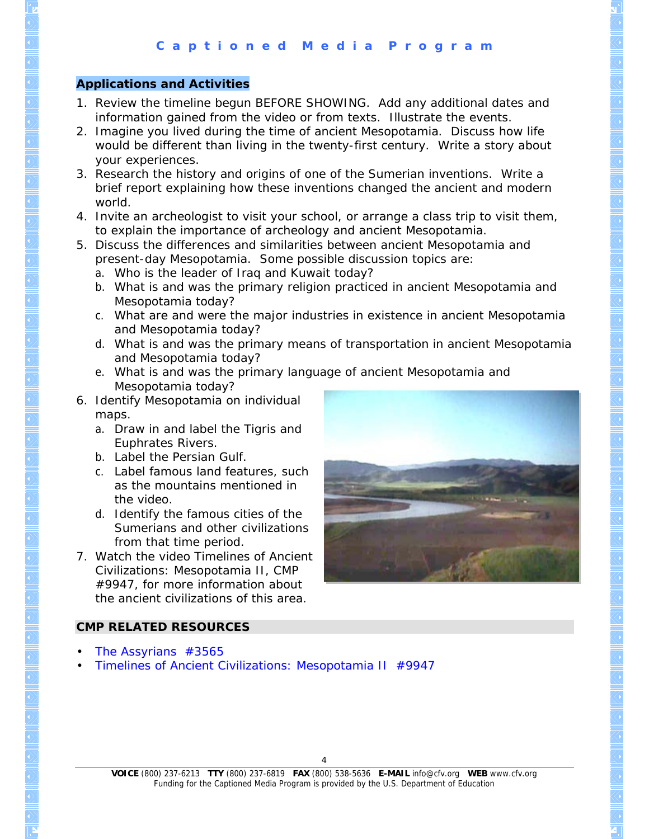## **Applications and Activities**

- 1. Review the timeline begun BEFORE SHOWING. Add any additional dates and information gained from the video or from texts. Illustrate the events.
- 2. Imagine you lived during the time of ancient Mesopotamia. Discuss how life would be different than living in the twenty-first century. Write a story about your experiences.
- 3. Research the history and origins of one of the Sumerian inventions. Write a brief report explaining how these inventions changed the ancient and modern world.
- 4. Invite an archeologist to visit your school, or arrange a class trip to visit them, to explain the importance of archeology and ancient Mesopotamia.
- 5. Discuss the differences and similarities between ancient Mesopotamia and present-day Mesopotamia. Some possible discussion topics are:
	- a. Who is the leader of Iraq and Kuwait today?
	- b. What is and was the primary religion practiced in ancient Mesopotamia and Mesopotamia today?
	- c. What are and were the major industries in existence in ancient Mesopotamia and Mesopotamia today?
	- d. What is and was the primary means of transportation in ancient Mesopotamia and Mesopotamia today?
	- e. What is and was the primary language of ancient Mesopotamia and Mesopotamia today?
- 6. Identify Mesopotamia on individual maps.
	- a. Draw in and label the Tigris and Euphrates Rivers.
	- b. Label the Persian Gulf.
	- c. Label famous land features, such as the mountains mentioned in the video.
	- d. Identify the famous cities of the Sumerians and other civilizations from that time period.
- 7. Watch the video *Timelines of Ancient Civilizations: Mesopotamia II*, CMP #9947, for more information about the ancient civilizations of this area.



## **CMP RELATED RESOURCES**

- *[The Assyrians](http://www.cfv.org/titledetail.asp?dn=3565)* #3565
- *[Timelines of Ancient Civilizations: Mesopotamia II](http://www.cfv.org/titledetail.asp?dn=9947)* #9947

**VOICE** (800) 237-6213 **TTY** (800) 237-6819 **FAX** (800) 538-5636 **E-MAIL** info@cfv.org **WEB** www.cfv.org Funding for the Captioned Media Program is provided by the U.S. Department of Education